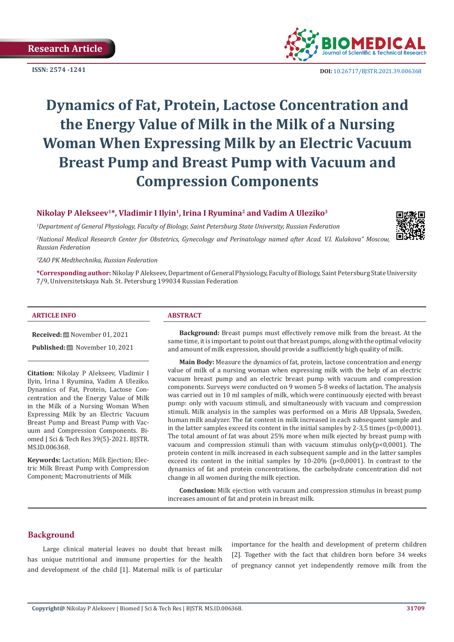**ISSN: 2574 -1241**



 **DOI:** [10.26717/BJSTR.2021.39.006368](https://dx.doi.org/10.26717/BJSTR.2021.39.006368)

# **Dynamics of Fat, Protein, Lactose Concentration and the Energy Value of Milk in the Milk of a Nursing Woman When Expressing Milk by an Electric Vacuum Breast Pump and Breast Pump with Vacuum and Compression Components**

# **Nikolay P Alekseev1\*, Vladimir I Ilyin1, Irina I Ryumina2 and Vadim A Uleziko3**

*1 Department of General Physiology, Faculty of Biology, Saint Petersburg State University, Russian Federation*



*2 National Medical Research Center for Obstetrics, Gynecology and Perinatology named after Acad. V.I. Kulakova" Moscow, Russian Federation*

*3 ZAO PK Medthechnika, Russian Federation*

**\*Corresponding author:** Nikolay P Alekseev, Department of General Physiology, Faculty of Biology, Saint Petersburg State University 7/9, Universitetskaya Nab. St. Petersburg 199034 Russian Federation

#### **ARTICLE INFO ABSTRACT**

**Received:** November 01, 2021

**Published:** November 10, 2021

**Citation:** Nikolay P Alekseev, Vladimir I Ilyin, Irina I Ryumina, Vadim A Uleziko. Dynamics of Fat, Protein, Lactose Concentration and the Energy Value of Milk in the Milk of a Nursing Woman When Expressing Milk by an Electric Vacuum Breast Pump and Breast Pump with Vacuum and Compression Components. Biomed J Sci & Tech Res 39(5)-2021. BJSTR. MS.ID.006368.

**Keywords:** Lactation; Milk Ejection; Electric Milk Breast Pump with Compression Component; Macronutrients of Milk

**Background:** Breast pumps must effectively remove milk from the breast. At the same time, it is important to point out that breast pumps, along with the optimal velocity and amount of milk expression, should provide a sufficiently high quality of milk.

**Main Body:** Measure the dynamics of fat, protein, lactose concentration and energy value of milk of a nursing woman when expressing milk with the help of an electric vacuum breast pump and an electric breast pump with vacuum and compression components. Surveys were conducted on 9 women 5-8 weeks of lactation. The analysis was carried out in 10 ml samples of milk, which were continuously ejected with breast pump: only with vacuum stimuli, and simultaneously with vacuum and compression stimuli. Milk analysis in the samples was performed on a Miris AB Uppsala, Sweden, human milk analyzer. The fat content in milk increased in each subsequent sample and in the latter samples exceed its content in the initial samples by 2-3,5 times  $(p<0.0001)$ . The total amount of fat was about 25% more when milk ejected by breast pump with vacuum and compression stimuli than with vacuum stimulus only(p<0,0001). The protein content in milk increased in each subsequent sample and in the latter samples exceed its content in the initial samples by 10-20% (p<0,0001). In contrast to the dynamics of fat and protein concentrations, the carbohydrate concentration did not change in all women during the milk ejection.

**Conclusion:** Milk ejection with vacuum and compression stimulus in breast pump increases amount of fat and protein in breast milk.

# **Background**

 Large clinical material leaves no doubt that breast milk has unique nutritional and immune properties for the health and development of the child [1]. Maternal milk is of particular

importance for the health and development of preterm children [2]. Together with the fact that children born before 34 weeks of pregnancy cannot yet independently remove milk from the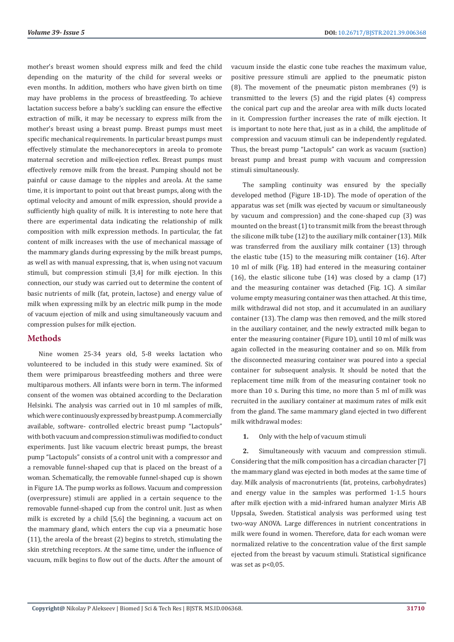mother's breast women should express milk and feed the child depending on the maturity of the child for several weeks or even months. In addition, mothers who have given birth on time may have problems in the process of breastfeeding. To achieve lactation success before a baby's suckling can ensure the effective extraction of milk, it may be necessary to express milk from the mother's breast using a breast pump. Breast pumps must meet specific mechanical requirements. In particular breast pumps must effectively stimulate the mechanoreceptors in areola to promote maternal secretion and milk-ejection reflex. Breast pumps must effectively remove milk from the breast. Pumping should not be painful or cause damage to the nipples and areola. At the same time, it is important to point out that breast pumps, along with the optimal velocity and amount of milk expression, should provide a sufficiently high quality of milk. It is interesting to note here that there are experimental data indicating the relationship of milk composition with milk expression methods. In particular, the fat content of milk increases with the use of mechanical massage of the mammary glands during expressing by the milk breast pumps, as well as with manual expressing, that is, when using not vacuum stimuli, but compression stimuli [3,4] for milk ejection. In this connection, our study was carried out to determine the content of basic nutrients of milk (fat, protein, lactose) and energy value of milk when expressing milk by an electric milk pump in the mode of vacuum ejection of milk and using simultaneously vacuum and compression pulses for milk ejection.

### **Methods**

Nine women 25-34 years old, 5-8 weeks lactation who volunteered to be included in this study were examined. Six of them were primiparous breastfeeding mothers and three were multiparous mothers. All infants were born in term. The informed consent of the women was obtained according to the Declaration Helsinki. The analysis was carried out in 10 ml samples of milk, which were continuously expressed by breast pump. A commercially available, software- controlled electric breast pump "Lactopuls" with both vacuum and compression stimuli was modified to conduct experiments. Just like vacuum electric breast pumps, the breast pump "Lactopuls" consists of a control unit with a compressor and a removable funnel-shaped cup that is placed on the breast of a woman. Schematically, the removable funnel-shaped cup is shown in Figure 1A. The pump works as follows. Vacuum and compression (overpressure) stimuli are applied in a certain sequence to the removable funnel-shaped cup from the control unit. Just as when milk is excreted by a child [5,6] the beginning, a vacuum act on the mammary gland, which enters the cup via a pneumatic hose (11), the areola of the breast (2) begins to stretch, stimulating the skin stretching receptors. At the same time, under the influence of vacuum, milk begins to flow out of the ducts. After the amount of

vacuum inside the elastic cone tube reaches the maximum value, positive pressure stimuli are applied to the pneumatic piston (8). The movement of the pneumatic piston membranes (9) is transmitted to the levers (5) and the rigid plates (4) compress the conical part cup and the areolar area with milk ducts located in it. Compression further increases the rate of milk ejection. It is important to note here that, just as in a child, the amplitude of compression and vacuum stimuli can be independently regulated. Thus, the breast pump "Lactopuls" can work as vacuum (suction) breast pump and breast pump with vacuum and compression stimuli simultaneously.

The sampling continuity was ensured by the specially developed method (Figure 1B-1D). The mode of operation of the apparatus was set (milk was ejected by vacuum or simultaneously by vacuum and compression) and the cone-shaped cup (3) was mounted on the breast (1) to transmit milk from the breast through the silicone milk tube (12) to the auxiliary milk container (13). Milk was transferred from the auxiliary milk container (13) through the elastic tube (15) to the measuring milk container (16). After 10 ml of milk (Fig. 1B) had entered in the measuring container  $(16)$ , the elastic silicone tube  $(14)$  was closed by a clamp  $(17)$ and the measuring container was detached (Fig. 1C). A similar volume empty measuring container was then attached. At this time, milk withdrawal did not stop, and it accumulated in an auxiliary container (13). The clamp was then removed, and the milk stored in the auxiliary container, and the newly extracted milk began to enter the measuring container (Figure 1D), until 10 ml of milk was again collected in the measuring container and so on. Milk from the disconnected measuring container was poured into a special container for subsequent analysis. It should be noted that the replacement time milk from of the measuring container took no more than 10 s. During this time, no more than 5 ml of milk was recruited in the auxiliary container at maximum rates of milk exit from the gland. The same mammary gland ejected in two different milk withdrawal modes:

### **1.** Only with the help of vacuum stimuli

**2.** Simultaneously with vacuum and compression stimuli. Considering that the milk composition has a circadian character [7] the mammary gland was ejected in both modes at the same time of day. Milk analysis of macronutrients (fat, proteins, carbohydrates) and energy value in the samples was performed 1-1.5 hours after milk ejection with a mid-infrared human analyzer Miris AB Uppsala, Sweden. Statistical analуsis was performed using test two-way ANOVA. Large differences in nutrient concentrations in milk were found in women. Therefore, data for each woman were normalized relative to the concentration value of the first sample ejected from the breast by vacuum stimuli. Statistical significance was set as p<0,05.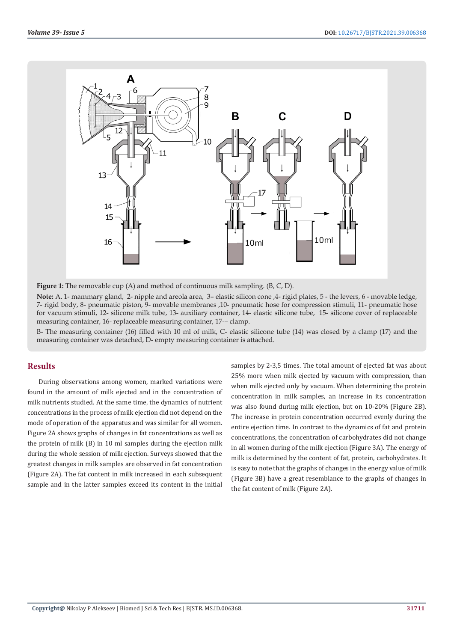

**Figure 1:** The removable cup (A) and method of continuous milk sampling. (B, C, D).

Note: A. 1- mammary gland, 2- nipple and areola area, 3- elastic silicon cone ,4- rigid plates, 5 - the levers, 6 - movable ledge, 7- rigid body, 8- pneumatic piston, 9- movable membranes ,10- pneumatic hose for compression stimuli, 11- pneumatic hose for vacuum stimuli, 12- silicone milk tube, 13- auxiliary container, 14- elastic silicone tube, 15- silicone cover of replaceable measuring container, 16- replaceable measuring container, 17-– clamp.

B- The measuring container (16) filled with 10 ml of milk, C- elastic silicone tube (14) was closed by a clamp (17) and the measuring container was detached, D- empty measuring container is attached.

# **Results**

During observations among women, marked variations were found in the amount of milk ejected and in the concentration of milk nutrients studied. At the same time, the dynamics of nutrient concentrations in the process of milk ejection did not depend on the mode of operation of the apparatus and was similar for all women. Figure 2А shows graphs of changes in fat concentrations as well as the protein of milk (B) in 10 ml samples during the ejection milk during the whole session of milk ejection. Surveys showed that the greatest changes in milk samples are observed in fat concentration (Figure 2A). The fat content in milk increased in each subsequent sample and in the latter samples exceed its content in the initial

samples by 2-3,5 times. The total amount of ejected fat was about 25% more when milk ejected by vacuum with compression, than when milk ejected only by vacuum. When determining the protein concentration in milk samples, an increase in its concentration was also found during milk ejection, but on 10-20% (Figure 2B). The increase in protein concentration occurred evenly during the entire ejection time. In contrast to the dynamics of fat and protein concentrations, the concentration of carbohydrates did not change in all women during of the milk ejection (Figure 3A). The energy of milk is determined by the content of fat, protein, carbohydrates. It is easy to note that the graphs of changes in the energy value of milk (Figure 3B) have a great resemblance to the graphs of changes in the fat content of milk (Figure 2A).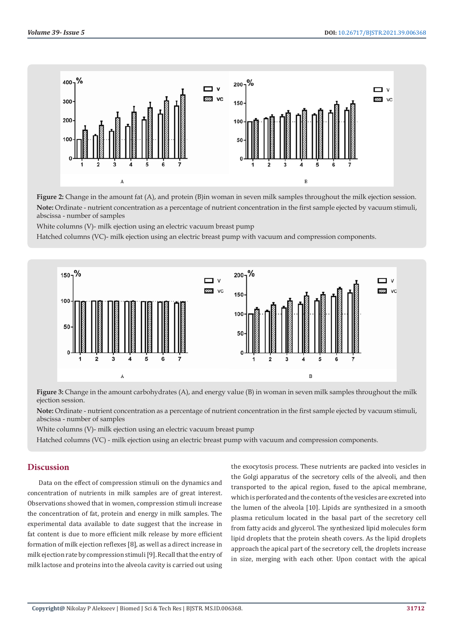

**Figure 2:** Change in the amount fat (A), and protein (B)in woman in seven milk samples throughout the milk ejection session. **Note:** Ordinate - nutrient concentration as a percentage of nutrient concentration in the first sample ejected by vacuum stimuli, abscissa - number of samples

White columns (V)- milk ejection using an electric vacuum breast pump

Hatched columns (VC)- milk ejection using an electric breast pump with vacuum and compression components.



**Figure 3:** Change in the amount carbohydrates (A), and energy value (B) in woman in seven milk samples throughout the milk ejection session.

**Note:** Ordinate - nutrient concentration as a percentage of nutrient concentration in the first sample ejected by vacuum stimuli, abscissa - number of samples

White columns (V)- milk ejection using an electric vacuum breast pump

Hatched columns (VC) - milk ejection using an electric breast pump with vacuum and compression components.

# **Discussion**

Data on the effect of compression stimuli on the dynamics and concentration of nutrients in milk samples are of great interest. Observations showed that in women, compression stimuli increase the concentration of fat, protein and energy in milk samples. The experimental data available to date suggest that the increase in fat content is due to more efficient milk release by more efficient formation of milk ejection reflexes [8], as well as a direct increase in milk ejection rate by compression stimuli [9]. Recall that the entry of milk lactose and proteins into the alveola cavity is carried out using

the exocytosis process. These nutrients are packed into vesicles in the Golgi apparatus of the secretory cells of the alveoli, and then transported to the apical region, fused to the apical membrane, which is perforated and the contents of the vesicles are excreted into the lumen of the alveola [10]. Lipids are synthesized in a smooth plasma reticulum located in the basal part of the secretory cell from fatty acids and glycerol. The synthesized lipid molecules form lipid droplets that the protein sheath covers. As the lipid droplets approach the apical part of the secretory cell, the droplets increase in size, merging with each other. Upon contact with the apical